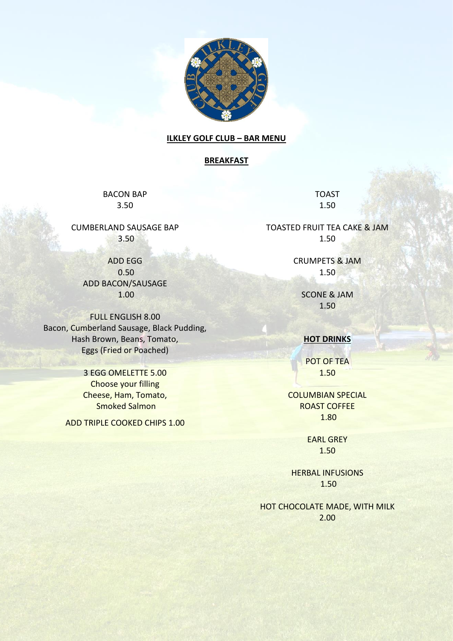

# **ILKLEY GOLF CLUB – BAR MENU**

#### **BREAKFAST**

BACON BAP 3.50

CUMBERLAND SAUSAGE BAP 3.50

> ADD EGG 0.50 ADD BACON/SAUSAGE 1.00

FULL ENGLISH 8.00 Bacon, Cumberland Sausage, Black Pudding, Hash Brown, Beans, Tomato, Eggs (Fried or Poached)

> 3 EGG OMELETTE 5.00 Choose your filling Cheese, Ham, Tomato, Smoked Salmon

ADD TRIPLE COOKED CHIPS 1.00

TOAST 1.50

TOASTED FRUIT TEA CAKE & JAM 1.50

> CRUMPETS & JAM 1.50

> > SCONE & JAM 1.50

## **HOT DRINKS**

POT OF TEA 1.50

COLUMBIAN SPECIAL ROAST COFFEE 1.80

> EARL GREY 1.50

HERBAL INFUSIONS 1.50

HOT CHOCOLATE MADE, WITH MILK 2.00